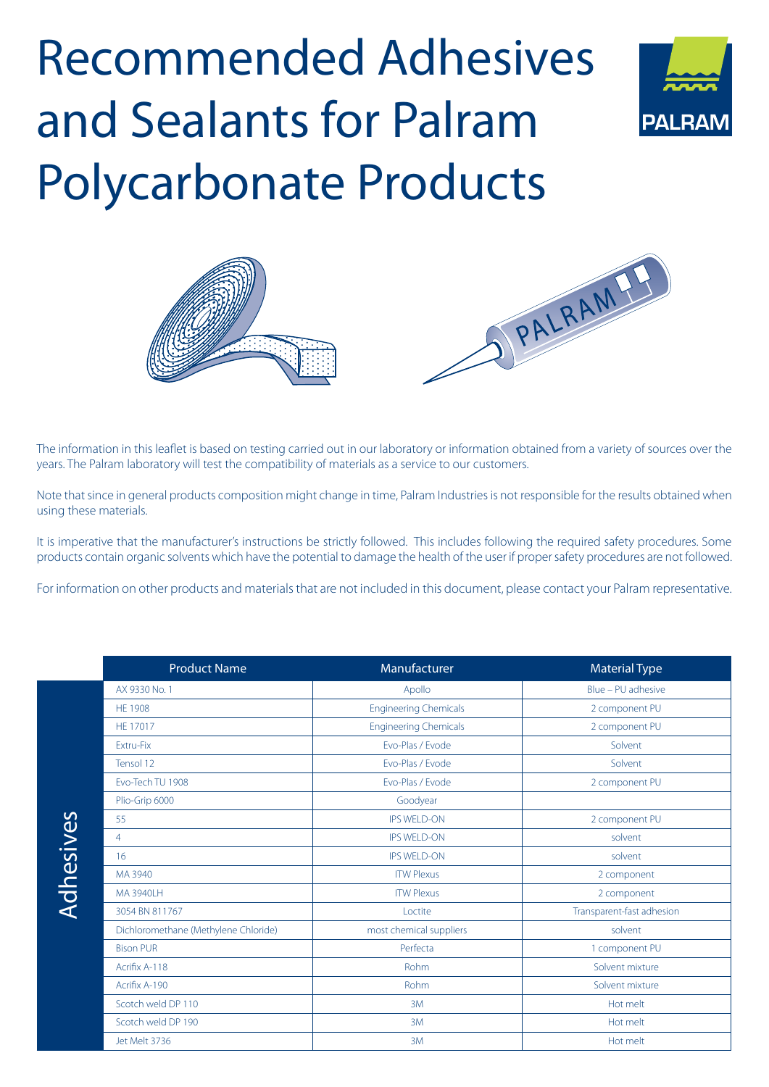## Adhesives Recommended and Sealants for Palram Polycarbonate Products





The information in this leaflet is based on testing carried out in our laboratory or information obtained from a variety of sources over the years. The Palram laboratory will test the compatibility of materials as a service to our customers.

Note that since in general products composition might change in time, Palram Industries is not responsible for the results obtained when using these materials.

It is imperative that the manufacturer's instructions be strictly followed. This includes following the required safety procedures. Some products contain organic solvents which have the potential to damage the health of the user if proper safety procedures are not followed.

For information on other products and materials that are not included in this document, please contact your Palram representative.

| <b>Product Name</b>                  | Manufacturer                 | <b>Material Type</b>      |
|--------------------------------------|------------------------------|---------------------------|
| AX 9330 No. 1                        | Apollo                       | Blue - PU adhesive        |
| <b>HE 1908</b>                       | <b>Engineering Chemicals</b> | 2 component PU            |
| <b>HE 17017</b>                      | <b>Engineering Chemicals</b> | 2 component PU            |
| Extru-Fix                            | Evo-Plas / Evode             | Solvent                   |
| Tensol 12                            | Evo-Plas / Evode             | Solvent                   |
| Evo-Tech TU 1908                     | Evo-Plas / Evode             | 2 component PU            |
| Plio-Grip 6000                       | Goodyear                     |                           |
| 55                                   | <b>IPS WELD-ON</b>           | 2 component PU            |
| $\overline{4}$                       | <b>IPS WELD-ON</b>           | solvent                   |
| 16                                   | <b>IPS WELD-ON</b>           | solvent                   |
| MA 3940                              | <b>ITW Plexus</b>            | 2 component               |
| <b>MA 3940LH</b>                     | <b>ITW Plexus</b>            | 2 component               |
| 3054 BN 811767                       | Loctite                      | Transparent-fast adhesion |
| Dichloromethane (Methylene Chloride) | most chemical suppliers      | solvent                   |
| <b>Bison PUR</b>                     | Perfecta                     | 1 component PU            |
| Acrifix A-118                        | <b>Rohm</b>                  | Solvent mixture           |
| Acrifix A-190                        | <b>Rohm</b>                  | Solvent mixture           |
| Scotch weld DP 110                   | 3M                           | Hot melt                  |
| Scotch weld DP 190                   | 3M                           | Hot melt                  |
| Jet Melt 3736                        | 3M                           | Hot melt                  |